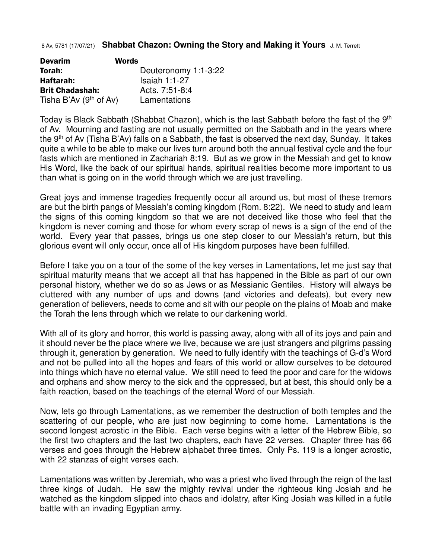## 8 Av, 5781 (17/07/21) **Shabbat Chazon: Owning the Story and Making it Yours** J. M. Terrett

| <b>Devarim</b>           | <b>Words</b>         |
|--------------------------|----------------------|
| Torah:                   | Deuteronomy 1:1-3:22 |
| Haftarah:                | Isaiah $1:1-27$      |
| <b>Brit Chadashah:</b>   | Acts. 7:51-8:4       |
| Tisha B'Av $(9th$ of Av) | Lamentations         |

Today is Black Sabbath (Shabbat Chazon), which is the last Sabbath before the fast of the 9<sup>th</sup> of Av. Mourning and fasting are not usually permitted on the Sabbath and in the years where the 9th of Av (Tisha B'Av) falls on a Sabbath, the fast is observed the next day, Sunday. It takes quite a while to be able to make our lives turn around both the annual festival cycle and the four fasts which are mentioned in Zachariah 8:19. But as we grow in the Messiah and get to know His Word, like the back of our spiritual hands, spiritual realities become more important to us than what is going on in the world through which we are just travelling.

Great joys and immense tragedies frequently occur all around us, but most of these tremors are but the birth pangs of Messiah's coming kingdom (Rom. 8:22). We need to study and learn the signs of this coming kingdom so that we are not deceived like those who feel that the kingdom is never coming and those for whom every scrap of news is a sign of the end of the world. Every year that passes, brings us one step closer to our Messiah's return, but this glorious event will only occur, once all of His kingdom purposes have been fulfilled.

Before I take you on a tour of the some of the key verses in Lamentations, let me just say that spiritual maturity means that we accept all that has happened in the Bible as part of our own personal history, whether we do so as Jews or as Messianic Gentiles. History will always be cluttered with any number of ups and downs (and victories and defeats), but every new generation of believers, needs to come and sit with our people on the plains of Moab and make the Torah the lens through which we relate to our darkening world.

With all of its glory and horror, this world is passing away, along with all of its joys and pain and it should never be the place where we live, because we are just strangers and pilgrims passing through it, generation by generation. We need to fully identify with the teachings of G-d's Word and not be pulled into all the hopes and fears of this world or allow ourselves to be detoured into things which have no eternal value. We still need to feed the poor and care for the widows and orphans and show mercy to the sick and the oppressed, but at best, this should only be a faith reaction, based on the teachings of the eternal Word of our Messiah.

Now, lets go through Lamentations, as we remember the destruction of both temples and the scattering of our people, who are just now beginning to come home. Lamentations is the second longest acrostic in the Bible. Each verse begins with a letter of the Hebrew Bible, so the first two chapters and the last two chapters, each have 22 verses. Chapter three has 66 verses and goes through the Hebrew alphabet three times. Only Ps. 119 is a longer acrostic, with 22 stanzas of eight verses each.

Lamentations was written by Jeremiah, who was a priest who lived through the reign of the last three kings of Judah. He saw the mighty revival under the righteous king Josiah and he watched as the kingdom slipped into chaos and idolatry, after King Josiah was killed in a futile battle with an invading Egyptian army.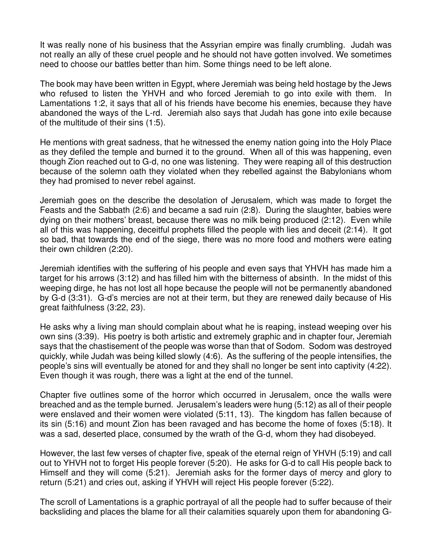It was really none of his business that the Assyrian empire was finally crumbling. Judah was not really an ally of these cruel people and he should not have gotten involved. We sometimes need to choose our battles better than him. Some things need to be left alone.

The book may have been written in Egypt, where Jeremiah was being held hostage by the Jews who refused to listen the YHVH and who forced Jeremiah to go into exile with them. In Lamentations 1:2, it says that all of his friends have become his enemies, because they have abandoned the ways of the L-rd. Jeremiah also says that Judah has gone into exile because of the multitude of their sins (1:5).

He mentions with great sadness, that he witnessed the enemy nation going into the Holy Place as they defiled the temple and burned it to the ground. When all of this was happening, even though Zion reached out to G-d, no one was listening. They were reaping all of this destruction because of the solemn oath they violated when they rebelled against the Babylonians whom they had promised to never rebel against.

Jeremiah goes on the describe the desolation of Jerusalem, which was made to forget the Feasts and the Sabbath (2:6) and became a sad ruin (2:8). During the slaughter, babies were dying on their mothers' breast, because there was no milk being produced (2:12). Even while all of this was happening, deceitful prophets filled the people with lies and deceit (2:14). It got so bad, that towards the end of the siege, there was no more food and mothers were eating their own children (2:20).

Jeremiah identifies with the suffering of his people and even says that YHVH has made him a target for his arrows (3:12) and has filled him with the bitterness of absinth. In the midst of this weeping dirge, he has not lost all hope because the people will not be permanently abandoned by G-d (3:31). G-d's mercies are not at their term, but they are renewed daily because of His great faithfulness (3:22, 23).

He asks why a living man should complain about what he is reaping, instead weeping over his own sins (3:39). His poetry is both artistic and extremely graphic and in chapter four, Jeremiah says that the chastisement of the people was worse than that of Sodom. Sodom was destroyed quickly, while Judah was being killed slowly (4:6). As the suffering of the people intensifies, the people's sins will eventually be atoned for and they shall no longer be sent into captivity (4:22). Even though it was rough, there was a light at the end of the tunnel.

Chapter five outlines some of the horror which occurred in Jerusalem, once the walls were breached and as the temple burned. Jerusalem's leaders were hung (5:12) as all of their people were enslaved and their women were violated (5:11, 13). The kingdom has fallen because of its sin (5:16) and mount Zion has been ravaged and has become the home of foxes (5:18). It was a sad, deserted place, consumed by the wrath of the G-d, whom they had disobeyed.

However, the last few verses of chapter five, speak of the eternal reign of YHVH (5:19) and call out to YHVH not to forget His people forever (5:20). He asks for G-d to call His people back to Himself and they will come (5:21). Jeremiah asks for the former days of mercy and glory to return (5:21) and cries out, asking if YHVH will reject His people forever (5:22).

The scroll of Lamentations is a graphic portrayal of all the people had to suffer because of their backsliding and places the blame for all their calamities squarely upon them for abandoning G-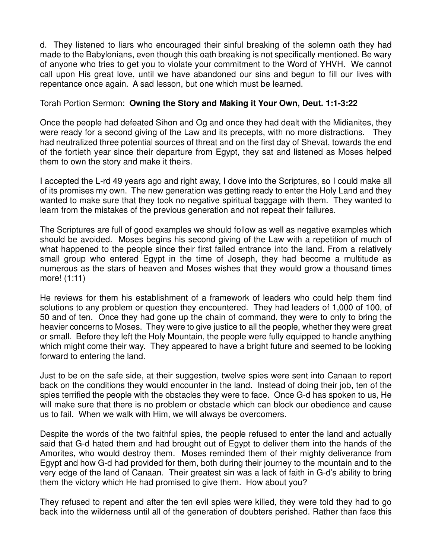d. They listened to liars who encouraged their sinful breaking of the solemn oath they had made to the Babylonians, even though this oath breaking is not specifically mentioned. Be wary of anyone who tries to get you to violate your commitment to the Word of YHVH. We cannot call upon His great love, until we have abandoned our sins and begun to fill our lives with repentance once again. A sad lesson, but one which must be learned.

## Torah Portion Sermon: **Owning the Story and Making it Your Own, Deut. 1:1-3:22**

Once the people had defeated Sihon and Og and once they had dealt with the Midianites, they were ready for a second giving of the Law and its precepts, with no more distractions. They had neutralized three potential sources of threat and on the first day of Shevat, towards the end of the fortieth year since their departure from Egypt, they sat and listened as Moses helped them to own the story and make it theirs.

I accepted the L-rd 49 years ago and right away, I dove into the Scriptures, so I could make all of its promises my own. The new generation was getting ready to enter the Holy Land and they wanted to make sure that they took no negative spiritual baggage with them. They wanted to learn from the mistakes of the previous generation and not repeat their failures.

The Scriptures are full of good examples we should follow as well as negative examples which should be avoided. Moses begins his second giving of the Law with a repetition of much of what happened to the people since their first failed entrance into the land. From a relatively small group who entered Egypt in the time of Joseph, they had become a multitude as numerous as the stars of heaven and Moses wishes that they would grow a thousand times more! (1:11)

He reviews for them his establishment of a framework of leaders who could help them find solutions to any problem or question they encountered. They had leaders of 1,000 of 100, of 50 and of ten. Once they had gone up the chain of command, they were to only to bring the heavier concerns to Moses. They were to give justice to all the people, whether they were great or small. Before they left the Holy Mountain, the people were fully equipped to handle anything which might come their way. They appeared to have a bright future and seemed to be looking forward to entering the land.

Just to be on the safe side, at their suggestion, twelve spies were sent into Canaan to report back on the conditions they would encounter in the land. Instead of doing their job, ten of the spies terrified the people with the obstacles they were to face. Once G-d has spoken to us, He will make sure that there is no problem or obstacle which can block our obedience and cause us to fail. When we walk with Him, we will always be overcomers.

Despite the words of the two faithful spies, the people refused to enter the land and actually said that G-d hated them and had brought out of Egypt to deliver them into the hands of the Amorites, who would destroy them. Moses reminded them of their mighty deliverance from Egypt and how G-d had provided for them, both during their journey to the mountain and to the very edge of the land of Canaan. Their greatest sin was a lack of faith in G-d's ability to bring them the victory which He had promised to give them. How about you?

They refused to repent and after the ten evil spies were killed, they were told they had to go back into the wilderness until all of the generation of doubters perished. Rather than face this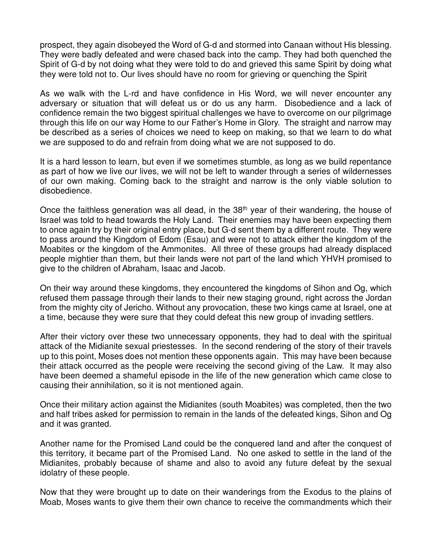prospect, they again disobeyed the Word of G-d and stormed into Canaan without His blessing. They were badly defeated and were chased back into the camp. They had both quenched the Spirit of G-d by not doing what they were told to do and grieved this same Spirit by doing what they were told not to. Our lives should have no room for grieving or quenching the Spirit

As we walk with the L-rd and have confidence in His Word, we will never encounter any adversary or situation that will defeat us or do us any harm. Disobedience and a lack of confidence remain the two biggest spiritual challenges we have to overcome on our pilgrimage through this life on our way Home to our Father's Home in Glory. The straight and narrow may be described as a series of choices we need to keep on making, so that we learn to do what we are supposed to do and refrain from doing what we are not supposed to do.

It is a hard lesson to learn, but even if we sometimes stumble, as long as we build repentance as part of how we live our lives, we will not be left to wander through a series of wildernesses of our own making. Coming back to the straight and narrow is the only viable solution to disobedience.

Once the faithless generation was all dead, in the 38<sup>th</sup> year of their wandering, the house of Israel was told to head towards the Holy Land. Their enemies may have been expecting them to once again try by their original entry place, but G-d sent them by a different route. They were to pass around the Kingdom of Edom (Esau) and were not to attack either the kingdom of the Moabites or the kingdom of the Ammonites. All three of these groups had already displaced people mightier than them, but their lands were not part of the land which YHVH promised to give to the children of Abraham, Isaac and Jacob.

On their way around these kingdoms, they encountered the kingdoms of Sihon and Og, which refused them passage through their lands to their new staging ground, right across the Jordan from the mighty city of Jericho. Without any provocation, these two kings came at Israel, one at a time, because they were sure that they could defeat this new group of invading settlers.

After their victory over these two unnecessary opponents, they had to deal with the spiritual attack of the Midianite sexual priestesses. In the second rendering of the story of their travels up to this point, Moses does not mention these opponents again. This may have been because their attack occurred as the people were receiving the second giving of the Law. It may also have been deemed a shameful episode in the life of the new generation which came close to causing their annihilation, so it is not mentioned again.

Once their military action against the Midianites (south Moabites) was completed, then the two and half tribes asked for permission to remain in the lands of the defeated kings, Sihon and Og and it was granted.

Another name for the Promised Land could be the conquered land and after the conquest of this territory, it became part of the Promised Land. No one asked to settle in the land of the Midianites, probably because of shame and also to avoid any future defeat by the sexual idolatry of these people.

Now that they were brought up to date on their wanderings from the Exodus to the plains of Moab, Moses wants to give them their own chance to receive the commandments which their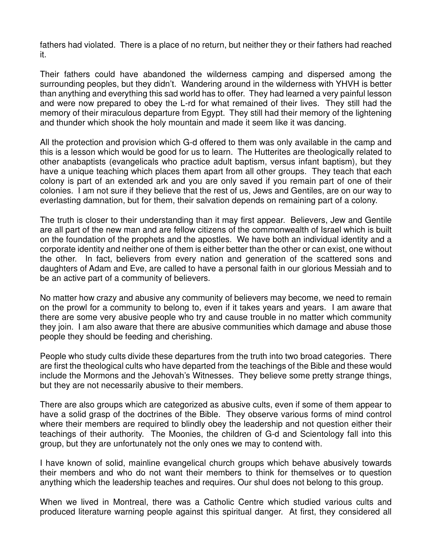fathers had violated. There is a place of no return, but neither they or their fathers had reached it.

Their fathers could have abandoned the wilderness camping and dispersed among the surrounding peoples, but they didn't. Wandering around in the wilderness with YHVH is better than anything and everything this sad world has to offer. They had learned a very painful lesson and were now prepared to obey the L-rd for what remained of their lives. They still had the memory of their miraculous departure from Egypt. They still had their memory of the lightening and thunder which shook the holy mountain and made it seem like it was dancing.

All the protection and provision which G-d offered to them was only available in the camp and this is a lesson which would be good for us to learn. The Hutterites are theologically related to other anabaptists (evangelicals who practice adult baptism, versus infant baptism), but they have a unique teaching which places them apart from all other groups. They teach that each colony is part of an extended ark and you are only saved if you remain part of one of their colonies. I am not sure if they believe that the rest of us, Jews and Gentiles, are on our way to everlasting damnation, but for them, their salvation depends on remaining part of a colony.

The truth is closer to their understanding than it may first appear. Believers, Jew and Gentile are all part of the new man and are fellow citizens of the commonwealth of Israel which is built on the foundation of the prophets and the apostles. We have both an individual identity and a corporate identity and neither one of them is either better than the other or can exist, one without the other. In fact, believers from every nation and generation of the scattered sons and daughters of Adam and Eve, are called to have a personal faith in our glorious Messiah and to be an active part of a community of believers.

No matter how crazy and abusive any community of believers may become, we need to remain on the prowl for a community to belong to, even if it takes years and years. I am aware that there are some very abusive people who try and cause trouble in no matter which community they join. I am also aware that there are abusive communities which damage and abuse those people they should be feeding and cherishing.

People who study cults divide these departures from the truth into two broad categories. There are first the theological cults who have departed from the teachings of the Bible and these would include the Mormons and the Jehovah's Witnesses. They believe some pretty strange things, but they are not necessarily abusive to their members.

There are also groups which are categorized as abusive cults, even if some of them appear to have a solid grasp of the doctrines of the Bible. They observe various forms of mind control where their members are required to blindly obey the leadership and not question either their teachings of their authority. The Moonies, the children of G-d and Scientology fall into this group, but they are unfortunately not the only ones we may to contend with.

I have known of solid, mainline evangelical church groups which behave abusively towards their members and who do not want their members to think for themselves or to question anything which the leadership teaches and requires. Our shul does not belong to this group.

When we lived in Montreal, there was a Catholic Centre which studied various cults and produced literature warning people against this spiritual danger. At first, they considered all